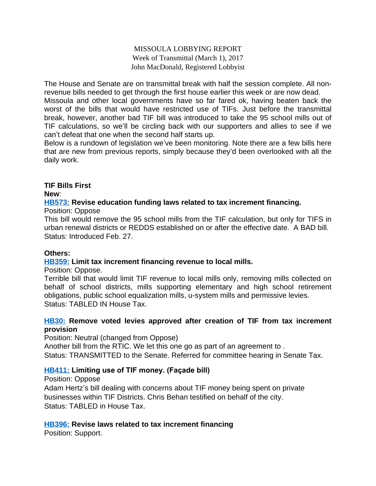## MISSOULA LOBBYING REPORT Week of Transmittal (March 1), 2017 John MacDonald, Registered Lobbyist

The House and Senate are on transmittal break with half the session complete. All nonrevenue bills needed to get through the first house earlier this week or are now dead.

Missoula and other local governments have so far fared ok, having beaten back the worst of the bills that would have restricted use of TIFs. Just before the transmittal break, however, another bad TIF bill was introduced to take the 95 school mills out of TIF calculations, so we'll be circling back with our supporters and allies to see if we can't defeat that one when the second half starts up.

Below is a rundown of legislation we've been monitoring. Note there are a few bills here that are new from previous reports, simply because they'd been overlooked with all the daily work.

# **TIF Bills First**

**New**:

### **[HB573:](http://laws.leg.mt.gov/legprd/LAW0210W$BSIV.ActionQuery?P_BILL_NO1=573&P_BLTP_BILL_TYP_CD=HB&Z_ACTION=Find&P_SESS=20171) Revise education funding laws related to tax increment financing.**

Position: Oppose

This bill would remove the 95 school mills from the TIF calculation, but only for TIFS in urban renewal districts or REDDS established on or after the effective date. A BAD bill. Status: Introduced Feb. 27.

### **Others:**

# **[HB359:](http://laws.leg.mt.gov/legprd/LAW0210W$BSIV.ActionQuery?P_BILL_NO1=359&P_BLTP_BILL_TYP_CD=HB&Z_ACTION=Find&P_SESS=20171) Limit tax increment financing revenue to local mills.**

Position: Oppose.

Terrible bill that would limit TIF revenue to local mills only, removing mills collected on behalf of school districts, mills supporting elementary and high school retirement obligations, public school equalization mills, u-system mills and permissive levies. Status: TABLED IN House Tax.

### **[HB30:](http://laws.leg.mt.gov/legprd/LAW0210W$BSIV.ActionQuery?P_BILL_NO1=30&P_BLTP_BILL_TYP_CD=HB&Z_ACTION=Find&P_SESS=20171) Remove voted levies approved after creation of TIF from tax increment provision**

Position: Neutral (changed from Oppose)

Another bill from the RTIC. We let this one go as part of an agreement to . Status: TRANSMITTED to the Senate. Referred for committee hearing in Senate Tax.

# **[HB411:](http://laws.leg.mt.gov/legprd/LAW0210W$BSIV.ActionQuery?P_BILL_NO1=411&P_BLTP_BILL_TYP_CD=HB&Z_ACTION=Find&P_SESS=20171) Limiting use of TIF money. (Façade bill)**

Position: Oppose

Adam Hertz's bill dealing with concerns about TIF money being spent on private businesses within TIF Districts. Chris Behan testified on behalf of the city. Status: TABLED in House Tax.

# **[HB396:](http://laws.leg.mt.gov/legprd/LAW0210W$BSIV.ActionQuery?P_BILL_NO1=396&P_BLTP_BILL_TYP_CD=HB&Z_ACTION=Find&P_SESS=20171) Revise laws related to tax increment financing**

Position: Support.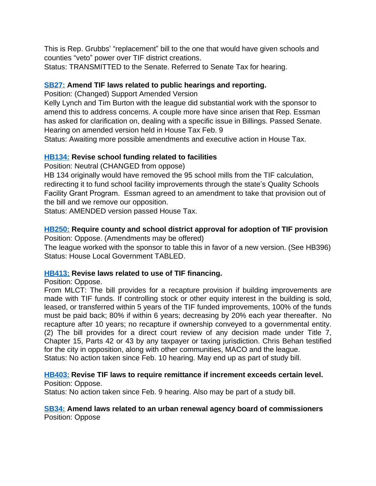This is Rep. Grubbs' "replacement" bill to the one that would have given schools and counties "veto" power over TIF district creations.

Status: TRANSMITTED to the Senate. Referred to Senate Tax for hearing.

## **[SB27:](http://laws.leg.mt.gov/legprd/LAW0210W$BSIV.ActionQuery?P_BILL_NO1=27&P_BLTP_BILL_TYP_CD=SB&Z_ACTION=Find&P_SESS=20171) Amend TIF laws related to public hearings and reporting.**

Position: (Changed) Support Amended Version

Kelly Lynch and Tim Burton with the league did substantial work with the sponsor to amend this to address concerns. A couple more have since arisen that Rep. Essman has asked for clarification on, dealing with a specific issue in Billings. Passed Senate. Hearing on amended version held in House Tax Feb. 9

Status: Awaiting more possible amendments and executive action in House Tax.

# **[HB134:](http://laws.leg.mt.gov/legprd/LAW0210W$BSIV.ActionQuery?P_BILL_NO1=134&P_BLTP_BILL_TYP_CD=HB&Z_ACTION=Find&P_SESS=20171) Revise school funding related to facilities**

Position: Neutral (CHANGED from oppose)

HB 134 originally would have removed the 95 school mills from the TIF calculation, redirecting it to fund school facility improvements through the state's Quality Schools Facility Grant Program. Essman agreed to an amendment to take that provision out of the bill and we remove our opposition.

Status: AMENDED version passed House Tax.

# **[HB250:](http://laws.leg.mt.gov/legprd/LAW0210W$BSIV.ActionQuery?P_BILL_NO1=250&P_BLTP_BILL_TYP_CD=HB&Z_ACTION=Find&P_SESS=20171) Require county and school district approval for adoption of TIF provision**

Position: Oppose. (Amendments may be offered)

The league worked with the sponsor to table this in favor of a new version. (See HB396) Status: House Local Government TABLED.

# **[HB413:](http://laws.leg.mt.gov/legprd/LAW0210W$BSIV.ActionQuery?P_BILL_NO1=413&P_BLTP_BILL_TYP_CD=HB&Z_ACTION=Find&P_SESS=20171) Revise laws related to use of TIF financing.**

### Position: Oppose.

From MLCT: The bill provides for a recapture provision if building improvements are made with TIF funds. If controlling stock or other equity interest in the building is sold, leased, or transferred within 5 years of the TIF funded improvements, 100% of the funds must be paid back; 80% if within 6 years; decreasing by 20% each year thereafter. No recapture after 10 years; no recapture if ownership conveyed to a governmental entity. (2) The bill provides for a direct court review of any decision made under Title 7, Chapter 15, Parts 42 or 43 by any taxpayer or taxing jurisdiction. Chris Behan testified for the city in opposition, along with other communities, MACO and the league. Status: No action taken since Feb. 10 hearing. May end up as part of study bill.

#### **[HB403:](http://laws.leg.mt.gov/legprd/LAW0210W$BSIV.ActionQuery?P_BILL_NO1=403&P_BLTP_BILL_TYP_CD=HB&Z_ACTION=Find&P_SESS=20171) Revise TIF laws to require remittance if increment exceeds certain level.** Position: Oppose.

Status: No action taken since Feb. 9 hearing. Also may be part of a study bill.

#### **[SB34:](http://laws.leg.mt.gov/legprd/LAW0210W$BSIV.ActionQuery?P_BILL_NO1=34&P_BLTP_BILL_TYP_CD=SB&Z_ACTION=Find&P_SESS=20171) Amend laws related to an urban renewal agency board of commissioners** Position: Oppose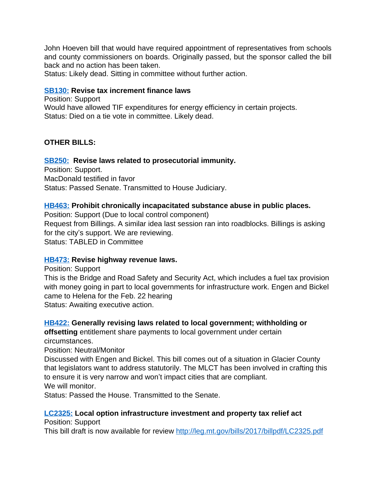John Hoeven bill that would have required appointment of representatives from schools and county commissioners on boards. Originally passed, but the sponsor called the bill back and no action has been taken.

Status: Likely dead. Sitting in committee without further action.

### **[SB130:](http://laws.leg.mt.gov/legprd/LAW0210W$BSIV.ActionQuery?P_BILL_NO1=130&P_BLTP_BILL_TYP_CD=SB&Z_ACTION=Find&P_SESS=20171) Revise tax increment finance laws**

Position: Support Would have allowed TIF expenditures for energy efficiency in certain projects. Status: Died on a tie vote in committee. Likely dead.

# **OTHER BILLS:**

# **[SB250:](http://laws.leg.mt.gov/legprd/LAW0210W$BSIV.ActionQuery?P_BILL_NO1=250&P_BLTP_BILL_TYP_CD=SB&Z_ACTION=Find&P_SESS=20171) Revise laws related to prosecutorial immunity.**

Position: Support. MacDonald testified in favor Status: Passed Senate. Transmitted to House Judiciary.

### **[HB463:](http://laws.leg.mt.gov/legprd/LAW0210W$BSIV.ActionQuery?P_BILL_NO1=463&P_BLTP_BILL_TYP_CD=HB&Z_ACTION=Find&P_SESS=20171) Prohibit chronically incapacitated substance abuse in public places.**

Position: Support (Due to local control component) Request from Billings. A similar idea last session ran into roadblocks. Billings is asking for the city's support. We are reviewing. Status: TABLED in Committee

### **[HB473:](http://laws.leg.mt.gov/legprd/LAW0210W$BSIV.ActionQuery?P_BILL_NO1=473&P_BLTP_BILL_TYP_CD=HB&Z_ACTION=Find&P_SESS=20171) Revise highway revenue laws.**

Position: Support

This is the Bridge and Road Safety and Security Act, which includes a fuel tax provision with money going in part to local governments for infrastructure work. Engen and Bickel came to Helena for the Feb. 22 hearing Status: Awaiting executive action.

### **[HB422:](http://laws.leg.mt.gov/legprd/LAW0210W$BSIV.ActionQuery?P_BILL_NO1=422&P_BLTP_BILL_TYP_CD=HB&Z_ACTION=Find&P_SESS=20171) Generally revising laws related to local government; withholding or**

**offsetting** entitlement share payments to local government under certain circumstances.

Position: Neutral/Monitor

Discussed with Engen and Bickel. This bill comes out of a situation in Glacier County that legislators want to address statutorily. The MLCT has been involved in crafting this to ensure it is very narrow and won't impact cities that are compliant. We will monitor.

Status: Passed the House. Transmitted to the Senate.

# **[LC2325:](http://laws.leg.mt.gov/legprd/LAW0210W$BSIV.ActionQuery?P_BILL_NO1=331&P_BLTP_BILL_TYP_CD=SB&Z_ACTION=Find&P_SESS=20171) Local option infrastructure investment and property tax relief act**

Position: Support

This bill draft is now available for review <http://leg.mt.gov/bills/2017/billpdf/LC2325.pdf>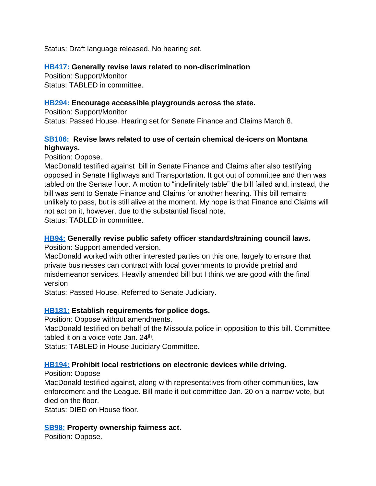Status: Draft language released. No hearing set.

# **[HB417:](http://laws.leg.mt.gov/legprd/LAW0210W$BSIV.ActionQuery?P_BILL_NO1=417&P_BLTP_BILL_TYP_CD=HB&Z_ACTION=Find&P_SESS=20171) Generally revise laws related to non-discrimination**

Position: Support/Monitor Status: TABLED in committee.

# **[HB294:](http://laws.leg.mt.gov/legprd/LAW0210W$BSIV.ActionQuery?P_BILL_NO1=294&P_BLTP_BILL_TYP_CD=HB&Z_ACTION=Find&P_SESS=20171) Encourage accessible playgrounds across the state.**

Position: Support/Monitor Status: Passed House. Hearing set for Senate Finance and Claims March 8.

# **[SB106:](http://laws.leg.mt.gov/legprd/LAW0210W$BSIV.ActionQuery?P_BILL_NO1=106&P_BLTP_BILL_TYP_CD=SB&Z_ACTION=Find&P_SESS=20171) Revise laws related to use of certain chemical de-icers on Montana highways.**

Position: Oppose.

MacDonald testified against bill in Senate Finance and Claims after also testifying opposed in Senate Highways and Transportation. It got out of committee and then was tabled on the Senate floor. A motion to "indefinitely table" the bill failed and, instead, the bill was sent to Senate Finance and Claims for another hearing. This bill remains unlikely to pass, but is still alive at the moment. My hope is that Finance and Claims will not act on it, however, due to the substantial fiscal note. Status: TABLED in committee.

# **[HB94:](http://laws.leg.mt.gov/legprd/LAW0210W$BSIV.ActionQuery?P_BILL_NO1=94&P_BLTP_BILL_TYP_CD=HB&Z_ACTION=Find&P_SESS=20171) Generally revise public safety officer standards/training council laws.**

Position: Support amended version.

MacDonald worked with other interested parties on this one, largely to ensure that private businesses can contract with local governments to provide pretrial and misdemeanor services. Heavily amended bill but I think we are good with the final version

Status: Passed House. Referred to Senate Judiciary.

# **[HB181:](http://laws.leg.mt.gov/legprd/LAW0210W$BSIV.ActionQuery?P_BILL_NO1=181&P_BLTP_BILL_TYP_CD=HB&Z_ACTION=Find&P_SESS=20171) Establish requirements for police dogs.**

Position: Oppose without amendments.

MacDonald testified on behalf of the Missoula police in opposition to this bill. Committee tabled it on a voice vote Jan. 24<sup>th</sup>.

Status: TABLED in House Judiciary Committee.

# **[HB194:](http://laws.leg.mt.gov/legprd/LAW0210W$BSIV.ActionQuery?P_BILL_NO1=194&P_BLTP_BILL_TYP_CD=HB&Z_ACTION=Find&P_SESS=20171) Prohibit local restrictions on electronic devices while driving.**

Position: Oppose

MacDonald testified against, along with representatives from other communities, law enforcement and the League. Bill made it out committee Jan. 20 on a narrow vote, but died on the floor.

Status: DIED on House floor.

# **[SB98:](http://laws.leg.mt.gov/legprd/LAW0210W$BSIV.ActionQuery?P_BILL_NO1=98&P_BLTP_BILL_TYP_CD=SB&Z_ACTION=Find&P_SESS=20171) Property ownership fairness act.**

Position: Oppose.